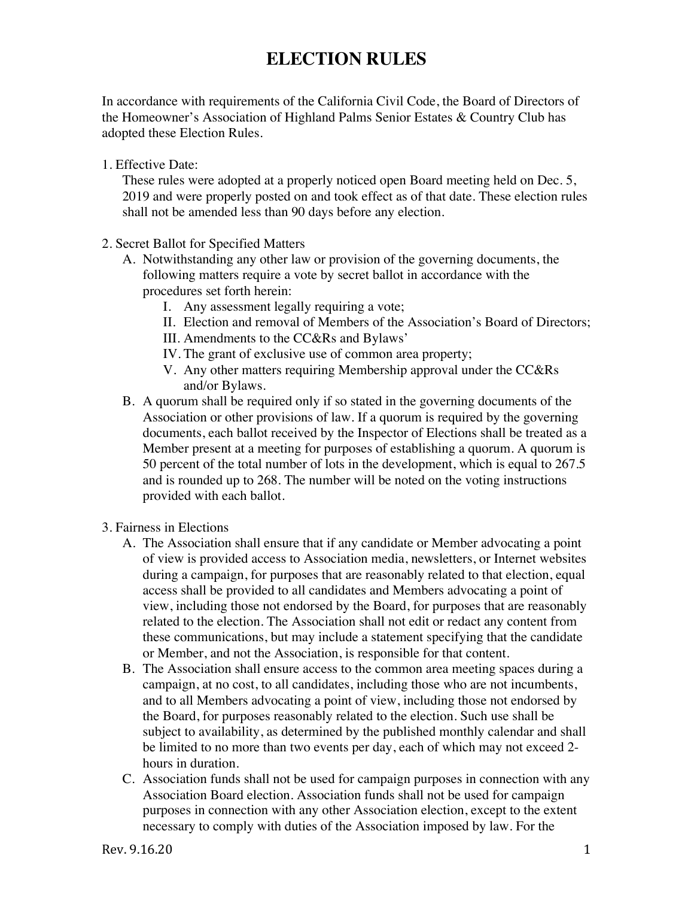## **ELECTION RULES**

In accordance with requirements of the California Civil Code, the Board of Directors of the Homeowner's Association of Highland Palms Senior Estates & Country Club has adopted these Election Rules.

1. Effective Date:

These rules were adopted at a properly noticed open Board meeting held on Dec. 5, 2019 and were properly posted on and took effect as of that date. These election rules shall not be amended less than 90 days before any election.

- 2. Secret Ballot for Specified Matters
	- A. Notwithstanding any other law or provision of the governing documents, the following matters require a vote by secret ballot in accordance with the procedures set forth herein:
		- I. Any assessment legally requiring a vote;
		- II. Election and removal of Members of the Association's Board of Directors;
		- III. Amendments to the CC&Rs and Bylaws'
		- IV. The grant of exclusive use of common area property;
		- V. Any other matters requiring Membership approval under the CC&Rs and/or Bylaws.
	- B. A quorum shall be required only if so stated in the governing documents of the Association or other provisions of law. If a quorum is required by the governing documents, each ballot received by the Inspector of Elections shall be treated as a Member present at a meeting for purposes of establishing a quorum. A quorum is 50 percent of the total number of lots in the development, which is equal to 267.5 and is rounded up to 268. The number will be noted on the voting instructions provided with each ballot.
- 3. Fairness in Elections
	- A. The Association shall ensure that if any candidate or Member advocating a point of view is provided access to Association media, newsletters, or Internet websites during a campaign, for purposes that are reasonably related to that election, equal access shall be provided to all candidates and Members advocating a point of view, including those not endorsed by the Board, for purposes that are reasonably related to the election. The Association shall not edit or redact any content from these communications, but may include a statement specifying that the candidate or Member, and not the Association, is responsible for that content.
	- B. The Association shall ensure access to the common area meeting spaces during a campaign, at no cost, to all candidates, including those who are not incumbents, and to all Members advocating a point of view, including those not endorsed by the Board, for purposes reasonably related to the election. Such use shall be subject to availability, as determined by the published monthly calendar and shall be limited to no more than two events per day, each of which may not exceed 2 hours in duration.
	- C. Association funds shall not be used for campaign purposes in connection with any Association Board election. Association funds shall not be used for campaign purposes in connection with any other Association election, except to the extent necessary to comply with duties of the Association imposed by law. For the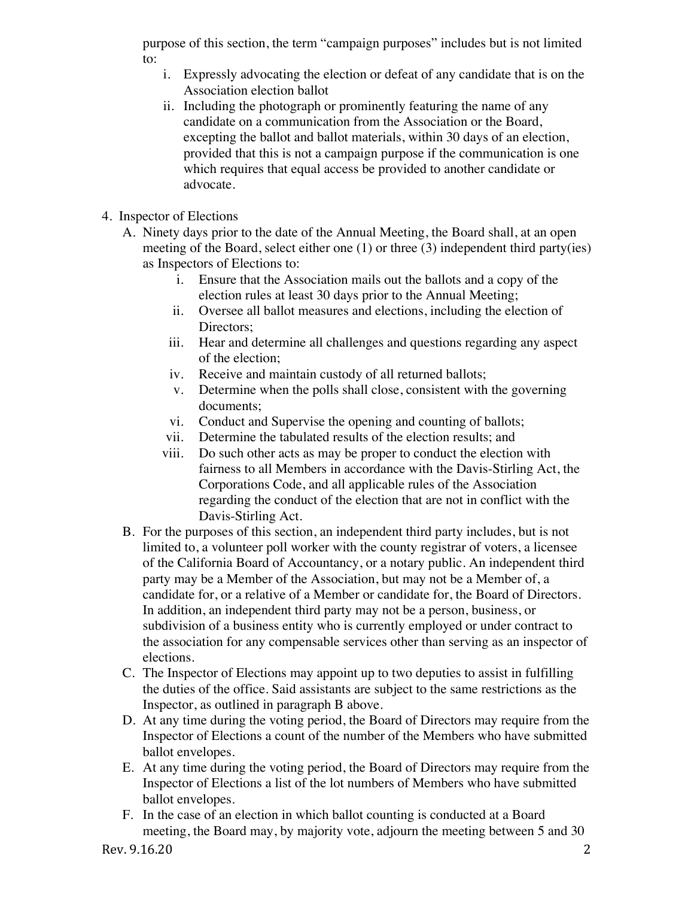purpose of this section, the term "campaign purposes" includes but is not limited to:

- i. Expressly advocating the election or defeat of any candidate that is on the Association election ballot
- ii. Including the photograph or prominently featuring the name of any candidate on a communication from the Association or the Board, excepting the ballot and ballot materials, within 30 days of an election, provided that this is not a campaign purpose if the communication is one which requires that equal access be provided to another candidate or advocate.
- 4. Inspector of Elections
	- A. Ninety days prior to the date of the Annual Meeting, the Board shall, at an open meeting of the Board, select either one (1) or three (3) independent third party(ies) as Inspectors of Elections to:
		- i. Ensure that the Association mails out the ballots and a copy of the election rules at least 30 days prior to the Annual Meeting;
		- ii. Oversee all ballot measures and elections, including the election of Directors:
		- iii. Hear and determine all challenges and questions regarding any aspect of the election;
		- iv. Receive and maintain custody of all returned ballots;
		- v. Determine when the polls shall close, consistent with the governing documents;
		- vi. Conduct and Supervise the opening and counting of ballots;
		- vii. Determine the tabulated results of the election results; and
		- viii. Do such other acts as may be proper to conduct the election with fairness to all Members in accordance with the Davis-Stirling Act, the Corporations Code, and all applicable rules of the Association regarding the conduct of the election that are not in conflict with the Davis-Stirling Act.
	- B. For the purposes of this section, an independent third party includes, but is not limited to, a volunteer poll worker with the county registrar of voters, a licensee of the California Board of Accountancy, or a notary public. An independent third party may be a Member of the Association, but may not be a Member of, a candidate for, or a relative of a Member or candidate for, the Board of Directors. In addition, an independent third party may not be a person, business, or subdivision of a business entity who is currently employed or under contract to the association for any compensable services other than serving as an inspector of elections.
	- C. The Inspector of Elections may appoint up to two deputies to assist in fulfilling the duties of the office. Said assistants are subject to the same restrictions as the Inspector, as outlined in paragraph B above.
	- D. At any time during the voting period, the Board of Directors may require from the Inspector of Elections a count of the number of the Members who have submitted ballot envelopes.
	- E. At any time during the voting period, the Board of Directors may require from the Inspector of Elections a list of the lot numbers of Members who have submitted ballot envelopes.
	- F. In the case of an election in which ballot counting is conducted at a Board meeting, the Board may, by majority vote, adjourn the meeting between 5 and 30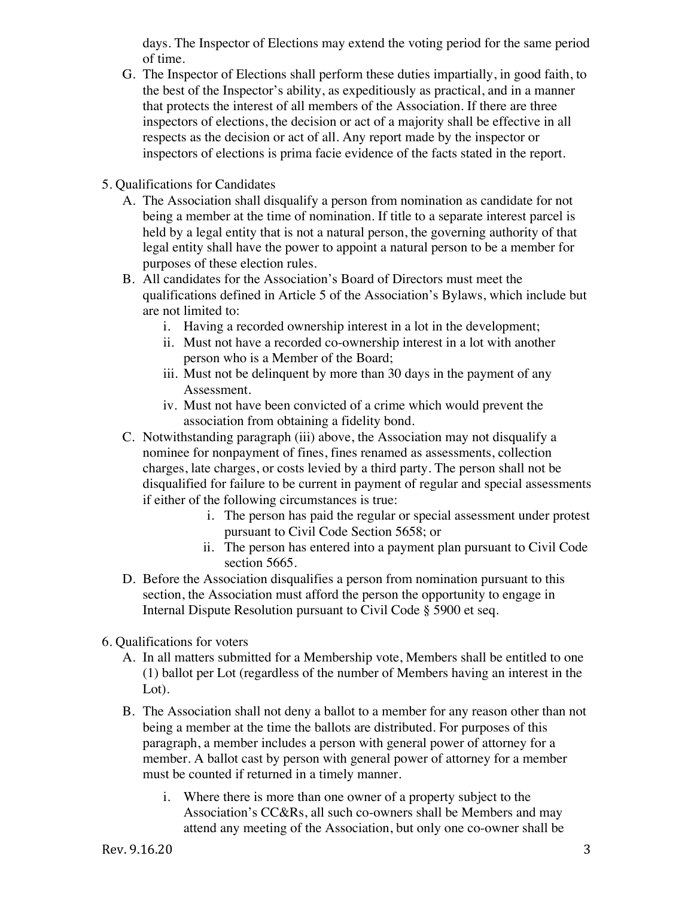days. The Inspector of Elections may extend the voting period for the same period of time.

- G. The Inspector of Elections shall perform these duties impartially, in good faith, to the best of the Inspector's ability, as expeditiously as practical, and in a manner that protects the interest of all members of the Association. If there are three inspectors of elections, the decision or act of a majority shall be effective in all respects as the decision or act of all. Any report made by the inspector or inspectors of elections is prima facie evidence of the facts stated in the report.
- 5. Qualifications for Candidates
	- A. The Association shall disqualify a person from nomination as candidate for not being a member at the time of nomination. If title to a separate interest parcel is held by a legal entity that is not a natural person, the governing authority of that legal entity shall have the power to appoint a natural person to be a member for purposes of these election rules.
	- B. All candidates for the Association's Board of Directors must meet the qualifications defined in Article 5 of the Association's Bylaws, which include but are not limited to:
		- i. Having a recorded ownership interest in a lot in the development;
		- ii. Must not have a recorded co-ownership interest in a lot with another person who is a Member of the Board;
		- iii. Must not be delinquent by more than 30 days in the payment of any Assessment.
		- iv. Must not have been convicted of a crime which would prevent the association from obtaining a fidelity bond.
	- C. Notwithstanding paragraph (iii) above, the Association may not disqualify a nominee for nonpayment of fines, fines renamed as assessments, collection charges, late charges, or costs levied by a third party. The person shall not be disqualified for failure to be current in payment of regular and special assessments if either of the following circumstances is true:
		- i. The person has paid the regular or special assessment under protest pursuant to Civil Code Section 5658; or
		- ii. The person has entered into a payment plan pursuant to Civil Code section 5665.
	- D. Before the Association disqualifies a person from nomination pursuant to this section, the Association must afford the person the opportunity to engage in Internal Dispute Resolution pursuant to Civil Code § 5900 et seq.
- 6. Qualifications for voters
	- A. In all matters submitted for a Membership vote, Members shall be entitled to one (1) ballot per Lot (regardless of the number of Members having an interest in the Lot).
	- B. The Association shall not deny a ballot to a member for any reason other than not being a member at the time the ballots are distributed. For purposes of this paragraph, a member includes a person with general power of attorney for a member. A ballot cast by person with general power of attorney for a member must be counted if returned in a timely manner.
		- i. Where there is more than one owner of a property subject to the Association's CC&Rs, all such co-owners shall be Members and may attend any meeting of the Association, but only one co-owner shall be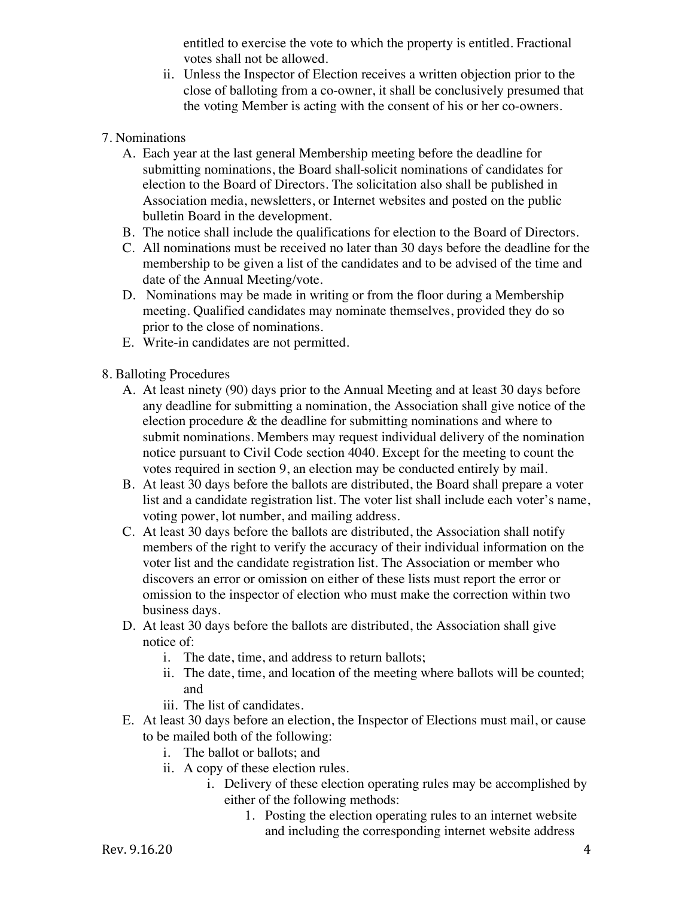entitled to exercise the vote to which the property is entitled. Fractional votes shall not be allowed.

- ii. Unless the Inspector of Election receives a written objection prior to the close of balloting from a co-owner, it shall be conclusively presumed that the voting Member is acting with the consent of his or her co-owners.
- 7. Nominations
	- A. Each year at the last general Membership meeting before the deadline for submitting nominations, the Board shall solicit nominations of candidates for election to the Board of Directors. The solicitation also shall be published in Association media, newsletters, or Internet websites and posted on the public bulletin Board in the development.
	- B. The notice shall include the qualifications for election to the Board of Directors.
	- C. All nominations must be received no later than 30 days before the deadline for the membership to be given a list of the candidates and to be advised of the time and date of the Annual Meeting/vote.
	- D. Nominations may be made in writing or from the floor during a Membership meeting. Qualified candidates may nominate themselves, provided they do so prior to the close of nominations.
	- E. Write-in candidates are not permitted.
- 8. Balloting Procedures
	- A. At least ninety (90) days prior to the Annual Meeting and at least 30 days before any deadline for submitting a nomination, the Association shall give notice of the election procedure & the deadline for submitting nominations and where to submit nominations. Members may request individual delivery of the nomination notice pursuant to Civil Code section 4040. Except for the meeting to count the votes required in section 9, an election may be conducted entirely by mail.
	- B. At least 30 days before the ballots are distributed, the Board shall prepare a voter list and a candidate registration list. The voter list shall include each voter's name, voting power, lot number, and mailing address.
	- C. At least 30 days before the ballots are distributed, the Association shall notify members of the right to verify the accuracy of their individual information on the voter list and the candidate registration list. The Association or member who discovers an error or omission on either of these lists must report the error or omission to the inspector of election who must make the correction within two business days.
	- D. At least 30 days before the ballots are distributed, the Association shall give notice of:
		- i. The date, time, and address to return ballots;
		- ii. The date, time, and location of the meeting where ballots will be counted; and
		- iii. The list of candidates.
	- E. At least 30 days before an election, the Inspector of Elections must mail, or cause to be mailed both of the following:
		- i. The ballot or ballots; and
		- ii. A copy of these election rules.
			- i. Delivery of these election operating rules may be accomplished by either of the following methods:
				- 1. Posting the election operating rules to an internet website and including the corresponding internet website address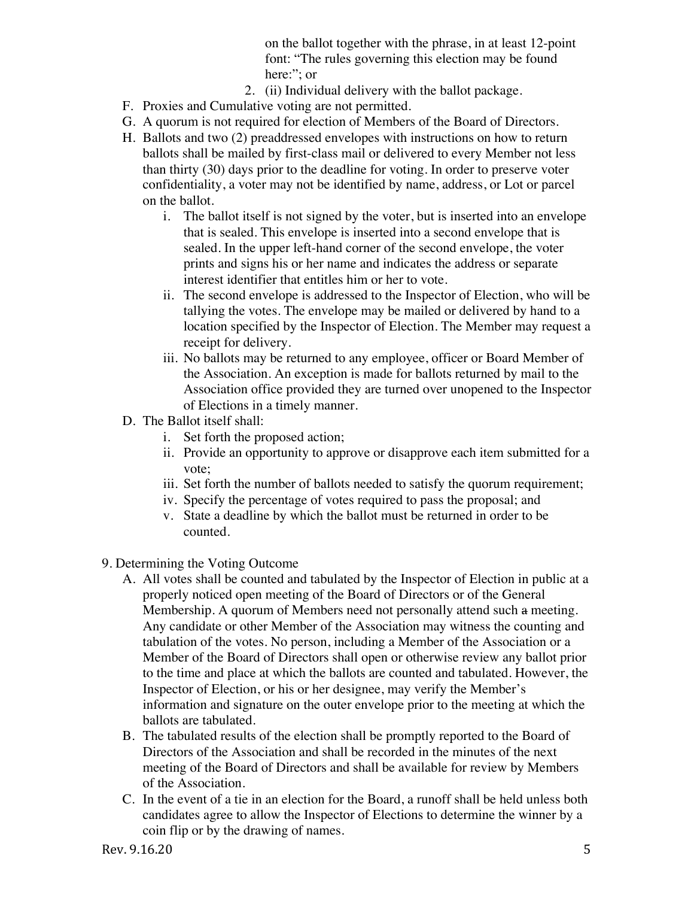on the ballot together with the phrase, in at least 12-point font: "The rules governing this election may be found here:": or

- 2. (ii) Individual delivery with the ballot package.
- F. Proxies and Cumulative voting are not permitted.
- G. A quorum is not required for election of Members of the Board of Directors.
- H. Ballots and two (2) preaddressed envelopes with instructions on how to return ballots shall be mailed by first-class mail or delivered to every Member not less than thirty (30) days prior to the deadline for voting. In order to preserve voter confidentiality, a voter may not be identified by name, address, or Lot or parcel on the ballot.
	- i. The ballot itself is not signed by the voter, but is inserted into an envelope that is sealed. This envelope is inserted into a second envelope that is sealed. In the upper left-hand corner of the second envelope, the voter prints and signs his or her name and indicates the address or separate interest identifier that entitles him or her to vote.
	- ii. The second envelope is addressed to the Inspector of Election, who will be tallying the votes. The envelope may be mailed or delivered by hand to a location specified by the Inspector of Election. The Member may request a receipt for delivery.
	- iii. No ballots may be returned to any employee, officer or Board Member of the Association. An exception is made for ballots returned by mail to the Association office provided they are turned over unopened to the Inspector of Elections in a timely manner.
- D. The Ballot itself shall:
	- i. Set forth the proposed action;
	- ii. Provide an opportunity to approve or disapprove each item submitted for a vote;
	- iii. Set forth the number of ballots needed to satisfy the quorum requirement;
	- iv. Specify the percentage of votes required to pass the proposal; and
	- v. State a deadline by which the ballot must be returned in order to be counted.
- 9. Determining the Voting Outcome
	- A. All votes shall be counted and tabulated by the Inspector of Election in public at a properly noticed open meeting of the Board of Directors or of the General Membership. A quorum of Members need not personally attend such a meeting. Any candidate or other Member of the Association may witness the counting and tabulation of the votes. No person, including a Member of the Association or a Member of the Board of Directors shall open or otherwise review any ballot prior to the time and place at which the ballots are counted and tabulated. However, the Inspector of Election, or his or her designee, may verify the Member's information and signature on the outer envelope prior to the meeting at which the ballots are tabulated.
	- B. The tabulated results of the election shall be promptly reported to the Board of Directors of the Association and shall be recorded in the minutes of the next meeting of the Board of Directors and shall be available for review by Members of the Association.
	- C. In the event of a tie in an election for the Board, a runoff shall be held unless both candidates agree to allow the Inspector of Elections to determine the winner by a coin flip or by the drawing of names.